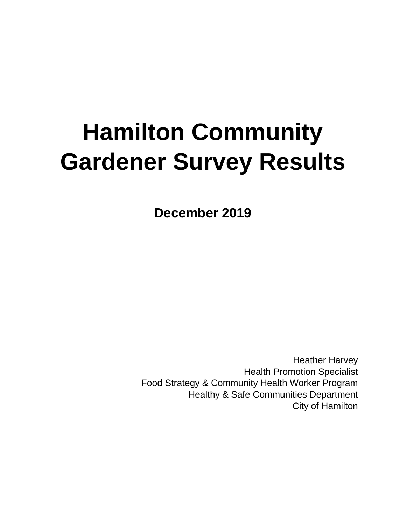# **Hamilton Community Gardener Survey Results**

**December 2019**

Heather Harvey Health Promotion Specialist Food Strategy & Community Health Worker Program Healthy & Safe Communities Department City of Hamilton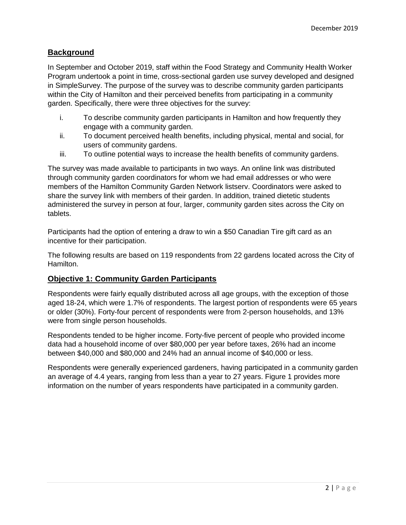## **Background**

In September and October 2019, staff within the Food Strategy and Community Health Worker Program undertook a point in time, cross-sectional garden use survey developed and designed in SimpleSurvey. The purpose of the survey was to describe community garden participants within the City of Hamilton and their perceived benefits from participating in a community garden. Specifically, there were three objectives for the survey:

- i. To describe community garden participants in Hamilton and how frequently they engage with a community garden.
- ii. To document perceived health benefits, including physical, mental and social, for users of community gardens.
- iii. To outline potential ways to increase the health benefits of community gardens.

The survey was made available to participants in two ways. An online link was distributed through community garden coordinators for whom we had email addresses or who were members of the Hamilton Community Garden Network listserv. Coordinators were asked to share the survey link with members of their garden. In addition, trained dietetic students administered the survey in person at four, larger, community garden sites across the City on tablets.

Participants had the option of entering a draw to win a \$50 Canadian Tire gift card as an incentive for their participation.

The following results are based on 119 respondents from 22 gardens located across the City of Hamilton.

### **Objective 1: Community Garden Participants**

Respondents were fairly equally distributed across all age groups, with the exception of those aged 18-24, which were 1.7% of respondents. The largest portion of respondents were 65 years or older (30%). Forty-four percent of respondents were from 2-person households, and 13% were from single person households.

Respondents tended to be higher income. Forty-five percent of people who provided income data had a household income of over \$80,000 per year before taxes, 26% had an income between \$40,000 and \$80,000 and 24% had an annual income of \$40,000 or less.

Respondents were generally experienced gardeners, having participated in a community garden an average of 4.4 years, ranging from less than a year to 27 years. Figure 1 provides more information on the number of years respondents have participated in a community garden.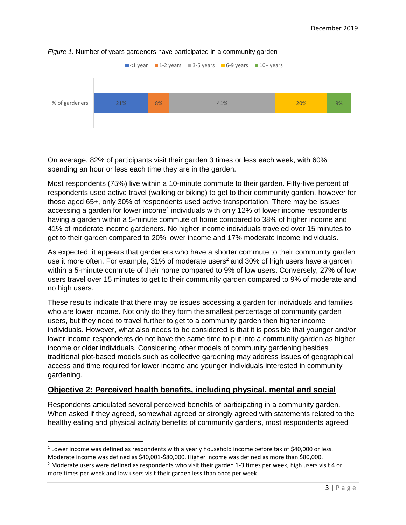

#### *Figure 1:* Number of years gardeners have participated in a community garden

On average, 82% of participants visit their garden 3 times or less each week, with 60% spending an hour or less each time they are in the garden.

Most respondents (75%) live within a 10-minute commute to their garden. Fifty-five percent of respondents used active travel (walking or biking) to get to their community garden, however for those aged 65+, only 30% of respondents used active transportation. There may be issues accessing a garden for lower income<sup>1</sup> individuals with only 12% of lower income respondents having a garden within a 5-minute commute of home compared to 38% of higher income and 41% of moderate income gardeners. No higher income individuals traveled over 15 minutes to get to their garden compared to 20% lower income and 17% moderate income individuals.

As expected, it appears that gardeners who have a shorter commute to their community garden use it more often. For example,  $31\%$  of moderate users<sup>2</sup> and  $30\%$  of high users have a garden within a 5-minute commute of their home compared to 9% of low users. Conversely, 27% of low users travel over 15 minutes to get to their community garden compared to 9% of moderate and no high users.

These results indicate that there may be issues accessing a garden for individuals and families who are lower income. Not only do they form the smallest percentage of community garden users, but they need to travel further to get to a community garden then higher income individuals. However, what also needs to be considered is that it is possible that younger and/or lower income respondents do not have the same time to put into a community garden as higher income or older individuals. Considering other models of community gardening besides traditional plot-based models such as collective gardening may address issues of geographical access and time required for lower income and younger individuals interested in community gardening.

### **Objective 2: Perceived health benefits, including physical, mental and social**

Respondents articulated several perceived benefits of participating in a community garden. When asked if they agreed, somewhat agreed or strongly agreed with statements related to the healthy eating and physical activity benefits of community gardens, most respondents agreed

l

 $1$  Lower income was defined as respondents with a yearly household income before tax of \$40,000 or less. Moderate income was defined as \$40,001-\$80,000. Higher income was defined as more than \$80,000.

<sup>&</sup>lt;sup>2</sup> Moderate users were defined as respondents who visit their garden 1-3 times per week, high users visit 4 or more times per week and low users visit their garden less than once per week.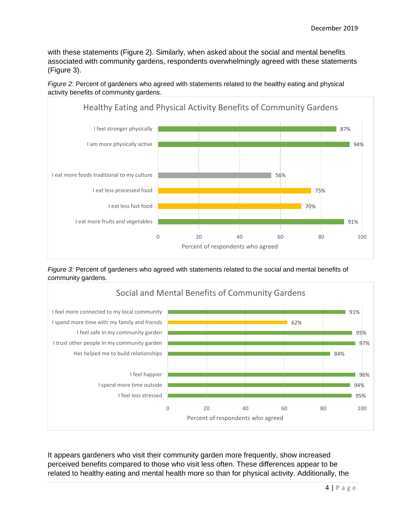with these statements (Figure 2). Similarly, when asked about the social and mental benefits associated with community gardens, respondents overwhelmingly agreed with these statements (Figure 3).



*Figure 2:* Percent of gardeners who agreed with statements related to the healthy eating and physical activity benefits of community gardens.

*Figure 3:* Percent of gardeners who agreed with statements related to the social and mental benefits of community gardens.



It appears gardeners who visit their community garden more frequently, show increased perceived benefits compared to those who visit less often. These differences appear to be related to healthy eating and mental health more so than for physical activity. Additionally, the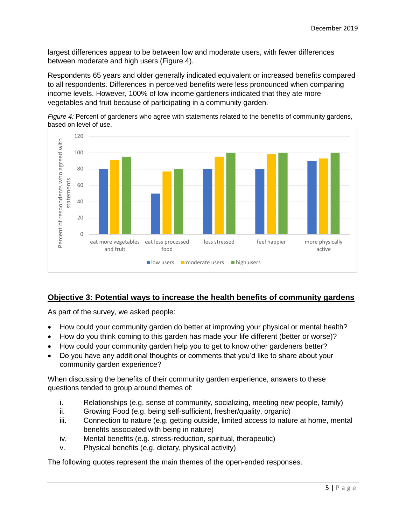largest differences appear to be between low and moderate users, with fewer differences between moderate and high users (Figure 4).

Respondents 65 years and older generally indicated equivalent or increased benefits compared to all respondents. Differences in perceived benefits were less pronounced when comparing income levels. However, 100% of low income gardeners indicated that they ate more vegetables and fruit because of participating in a community garden.



*Figure 4:* Percent of gardeners who agree with statements related to the benefits of community gardens, based on level of use.

## **Objective 3: Potential ways to increase the health benefits of community gardens**

As part of the survey, we asked people:

- How could your community garden do better at improving your physical or mental health?
- How do you think coming to this garden has made your life different (better or worse)?
- How could your community garden help you to get to know other gardeners better?
- Do you have any additional thoughts or comments that you'd like to share about your community garden experience?

When discussing the benefits of their community garden experience, answers to these questions tended to group around themes of:

- i. Relationships (e.g. sense of community, socializing, meeting new people, family)
- ii. Growing Food (e.g. being self-sufficient, fresher/quality, organic)
- iii. Connection to nature (e.g. getting outside, limited access to nature at home, mental benefits associated with being in nature)
- iv. Mental benefits (e.g. stress-reduction, spiritual, therapeutic)
- v. Physical benefits (e.g. dietary, physical activity)

The following quotes represent the main themes of the open-ended responses.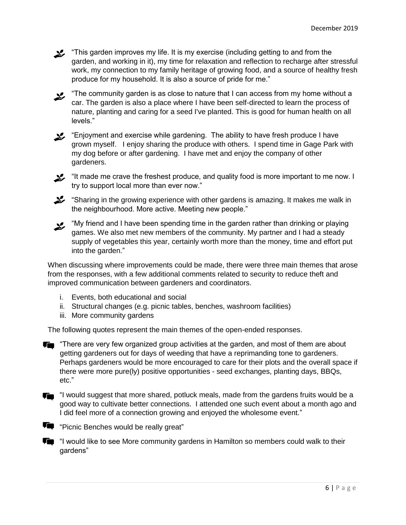**12.** "This garden improves my life. It is my exercise (including getting to and from the garden, and working in it), my time for relaxation and reflection to recharge after stressful work, my connection to my family heritage of growing food, and a source of healthy fresh produce for my household. It is also a source of pride for me."

 $\blacktriangleright$  "The community garden is as close to nature that I can access from my home without a car. The garden is also a place where I have been self-directed to learn the process of nature, planting and caring for a seed I've planted. This is good for human health on all levels."

 $\blacktriangleright$  "Enjoyment and exercise while gardening. The ability to have fresh produce I have grown myself. I enjoy sharing the produce with others. I spend time in Gage Park with my dog before or after gardening. I have met and enjoy the company of other gardeners.

 $\mathcal{L}$  "It made me crave the freshest produce, and quality food is more important to me now. I try to support local more than ever now."

 $\mathcal{L}$  "Sharing in the growing experience with other gardens is amazing. It makes me walk in the neighbourhood. More active. Meeting new people."

 $\boldsymbol{\mathcal{Z}}$  "My friend and I have been spending time in the garden rather than drinking or playing games. We also met new members of the community. My partner and I had a steady supply of vegetables this year, certainly worth more than the money, time and effort put into the garden."

When discussing where improvements could be made, there were three main themes that arose from the responses, with a few additional comments related to security to reduce theft and improved communication between gardeners and coordinators.

- i. Events, both educational and social
- ii. Structural changes (e.g. picnic tables, benches, washroom facilities)
- iii. More community gardens

The following quotes represent the main themes of the open-ended responses.

**T** "There are very few organized group activities at the garden, and most of them are about getting gardeners out for days of weeding that have a reprimanding tone to gardeners. Perhaps gardeners would be more encouraged to care for their plots and the overall space if there were more pure(ly) positive opportunities - seed exchanges, planting days, BBQs, etc."

Ta "I would suggest that more shared, potluck meals, made from the gardens fruits would be a good way to cultivate better connections. I attended one such event about a month ago and I did feel more of a connection growing and enjoyed the wholesome event."

**TH** "Picnic Benches would be really great"

**THE** "I would like to see More community gardens in Hamilton so members could walk to their gardens"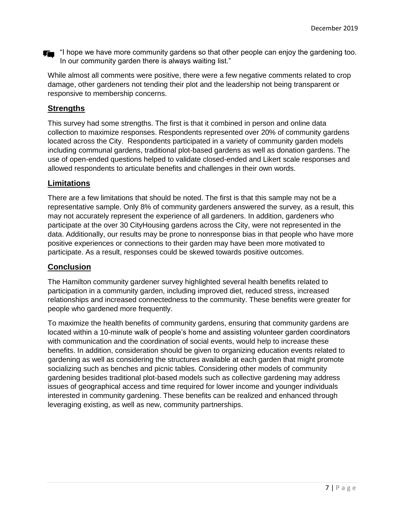**T** "I hope we have more community gardens so that other people can enjoy the gardening too. In our community garden there is always waiting list."

While almost all comments were positive, there were a few negative comments related to crop damage, other gardeners not tending their plot and the leadership not being transparent or responsive to membership concerns.

## **Strengths**

This survey had some strengths. The first is that it combined in person and online data collection to maximize responses. Respondents represented over 20% of community gardens located across the City. Respondents participated in a variety of community garden models including communal gardens, traditional plot-based gardens as well as donation gardens. The use of open-ended questions helped to validate closed-ended and Likert scale responses and allowed respondents to articulate benefits and challenges in their own words.

## **Limitations**

There are a few limitations that should be noted. The first is that this sample may not be a representative sample. Only 8% of community gardeners answered the survey, as a result, this may not accurately represent the experience of all gardeners. In addition, gardeners who participate at the over 30 CityHousing gardens across the City, were not represented in the data. Additionally, our results may be prone to nonresponse bias in that people who have more positive experiences or connections to their garden may have been more motivated to participate. As a result, responses could be skewed towards positive outcomes.

## **Conclusion**

The Hamilton community gardener survey highlighted several health benefits related to participation in a community garden, including improved diet, reduced stress, increased relationships and increased connectedness to the community. These benefits were greater for people who gardened more frequently.

To maximize the health benefits of community gardens, ensuring that community gardens are located within a 10-minute walk of people's home and assisting volunteer garden coordinators with communication and the coordination of social events, would help to increase these benefits. In addition, consideration should be given to organizing education events related to gardening as well as considering the structures available at each garden that might promote socializing such as benches and picnic tables. Considering other models of community gardening besides traditional plot-based models such as collective gardening may address issues of geographical access and time required for lower income and younger individuals interested in community gardening. These benefits can be realized and enhanced through leveraging existing, as well as new, community partnerships.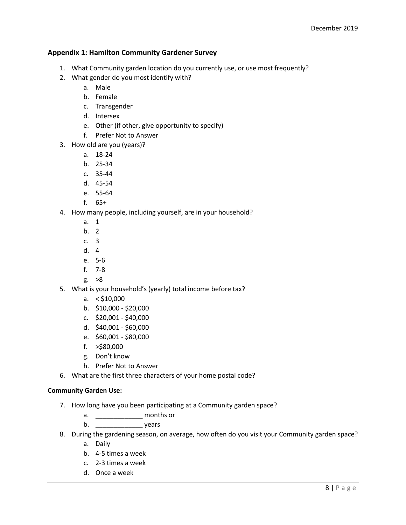#### **Appendix 1: Hamilton Community Gardener Survey**

- 1. What Community garden location do you currently use, or use most frequently?
- 2. What gender do you most identify with?
	- a. Male
	- b. Female
	- c. Transgender
	- d. Intersex
	- e. Other (if other, give opportunity to specify)
	- f. Prefer Not to Answer
- 3. How old are you (years)?
	- a. 18-24
	- b. 25-34
	- c. 35-44
	- d. 45-54
	- e. 55-64
	- f. 65+
- 4. How many people, including yourself, are in your household?
	- a. 1
	- b. 2
	- c. 3
	- d. 4
	- e. 5-6
	- f. 7-8
	- g. >8
- 5. What is your household's (yearly) total income before tax?
	- a.  $<$  \$10,000
	- b. \$10,000 \$20,000
	- c. \$20,001 \$40,000
	- d. \$40,001 \$60,000
	- e. \$60,001 \$80,000
	- f. >\$80,000
	- g. Don't know
	- h. Prefer Not to Answer
- 6. What are the first three characters of your home postal code?

#### **Community Garden Use:**

- 7. How long have you been participating at a Community garden space?
	- a. \_\_\_\_\_\_\_\_\_\_\_\_\_ months or
	- b. \_\_\_\_\_\_\_\_\_\_\_\_\_ years
- 8. During the gardening season, on average, how often do you visit your Community garden space?
	- a. Daily
	- b. 4-5 times a week
	- c. 2-3 times a week
	- d. Once a week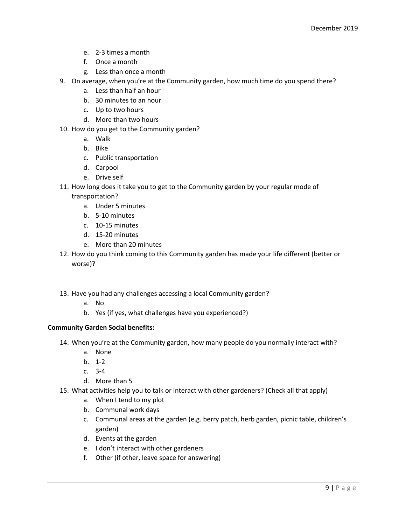- e. 2-3 times a month
- f. Once a month
- g. Less than once a month
- 9. On average, when you're at the Community garden, how much time do you spend there?
	- a. Less than half an hour
	- b. 30 minutes to an hour
	- c. Up to two hours
	- d. More than two hours
- 10. How do you get to the Community garden?
	- a. Walk
	- b. Bike
	- c. Public transportation
	- d. Carpool
	- e. Drive self
- 11. How long does it take you to get to the Community garden by your regular mode of transportation?
	- a. Under 5 minutes
	- b. 5-10 minutes
	- c. 10-15 minutes
	- d. 15-20 minutes
	- e. More than 20 minutes
- 12. How do you think coming to this Community garden has made your life different (better or worse)?
- 13. Have you had any challenges accessing a local Community garden?
	- a. No
	- b. Yes (if yes, what challenges have you experienced?)

#### **Community Garden Social benefits:**

- 14. When you're at the Community garden, how many people do you normally interact with?
	- a. None
	- b. 1-2
	- c. 3-4
	- d. More than 5
- 15. What activities help you to talk or interact with other gardeners? (Check all that apply)
	- a. When I tend to my plot
	- b. Communal work days
	- c. Communal areas at the garden (e.g. berry patch, herb garden, picnic table, children's garden)
	- d. Events at the garden
	- e. I don't interact with other gardeners
	- f. Other (if other, leave space for answering)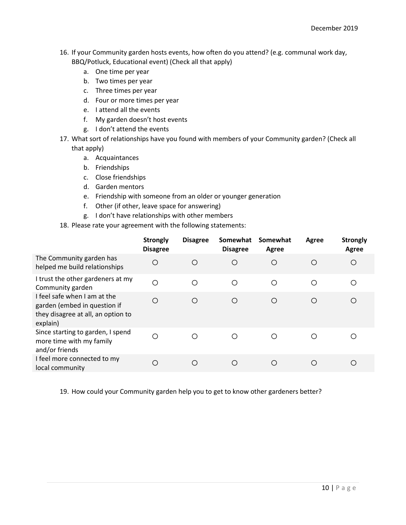- 16. If your Community garden hosts events, how often do you attend? (e.g. communal work day, BBQ/Potluck, Educational event) (Check all that apply)
	- a. One time per year
	- b. Two times per year
	- c. Three times per year
	- d. Four or more times per year
	- e. I attend all the events
	- f. My garden doesn't host events
	- g. I don't attend the events
- 17. What sort of relationships have you found with members of your Community garden? (Check all that apply)
	- a. Acquaintances
	- b. Friendships
	- c. Close friendships
	- d. Garden mentors
	- e. Friendship with someone from an older or younger generation
	- f. Other (if other, leave space for answering)
	- g. I don't have relationships with other members
- 18. Please rate your agreement with the following statements:

|                                                                                                                | <b>Strongly</b><br><b>Disagree</b> | <b>Disagree</b> | Somewhat<br><b>Disagree</b> | Somewhat<br>Agree | Agree | <b>Strongly</b><br>Agree |
|----------------------------------------------------------------------------------------------------------------|------------------------------------|-----------------|-----------------------------|-------------------|-------|--------------------------|
| The Community garden has<br>helped me build relationships                                                      | $\circ$                            | O               | О                           | $\circ$           | О     | O                        |
| I trust the other gardeners at my<br>Community garden                                                          | $\circ$                            | ∩               | O                           | ◯                 | ∩     | O                        |
| I feel safe when I am at the<br>garden (embed in question if<br>they disagree at all, an option to<br>explain) | O                                  | O               | O                           | $\bigcirc$        | Ω     | O                        |
| Since starting to garden, I spend<br>more time with my family<br>and/or friends                                | Ω                                  | ∩               | O                           | ∩                 | ◯     | ◯                        |
| I feel more connected to my<br>local community                                                                 | Ω                                  | ∩               | ∩                           | ∩                 | ∩     | ◯                        |

19. How could your Community garden help you to get to know other gardeners better?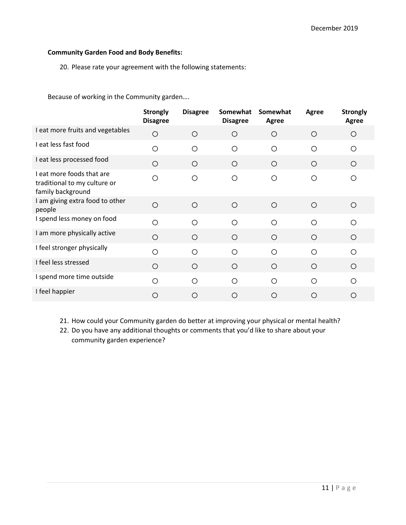#### **Community Garden Food and Body Benefits:**

20. Please rate your agreement with the following statements:

Because of working in the Community garden….

|                                                                                | <b>Strongly</b><br><b>Disagree</b> | <b>Disagree</b> | Somewhat<br><b>Disagree</b> | Somewhat<br>Agree | Agree      | <b>Strongly</b><br>Agree |
|--------------------------------------------------------------------------------|------------------------------------|-----------------|-----------------------------|-------------------|------------|--------------------------|
| I eat more fruits and vegetables                                               | $\circ$                            | $\bigcirc$      | $\circ$                     | O                 | $\circ$    | O                        |
| I eat less fast food                                                           | $\circ$                            | ◯               | $\circ$                     | $\circ$           | O          | O                        |
| I eat less processed food                                                      | $\circ$                            | O               | $\circ$                     | $\bigcirc$        | $\bigcirc$ | $\circ$                  |
| I eat more foods that are<br>traditional to my culture or<br>family background | $\circ$                            | O               | O                           | O                 | O          | O                        |
| I am giving extra food to other<br>people                                      | $\circ$                            | $\bigcirc$      | $\circ$                     | $\circ$           | $\bigcirc$ | $\circ$                  |
| I spend less money on food                                                     | $\circ$                            | ◯               | $\circ$                     | $\circ$           | $\bigcirc$ | $\circ$                  |
| I am more physically active                                                    | $\circ$                            | $\circ$         | $\circ$                     | $\circ$           | $\circ$    | $\circ$                  |
| I feel stronger physically                                                     | O                                  | ∩               | O                           | $\bigcirc$        | O          | Ο                        |
| I feel less stressed                                                           | $\circ$                            | O               | $\circ$                     | $\circ$           | O          | $\circ$                  |
| I spend more time outside                                                      | $\circ$                            | ◯               | O                           | ◯                 | ◯          | O                        |
| I feel happier                                                                 | $\circ$                            | ∩               | О                           | $\circ$           | $\bigcirc$ | Ω                        |

21. How could your Community garden do better at improving your physical or mental health?

22. Do you have any additional thoughts or comments that you'd like to share about your community garden experience?